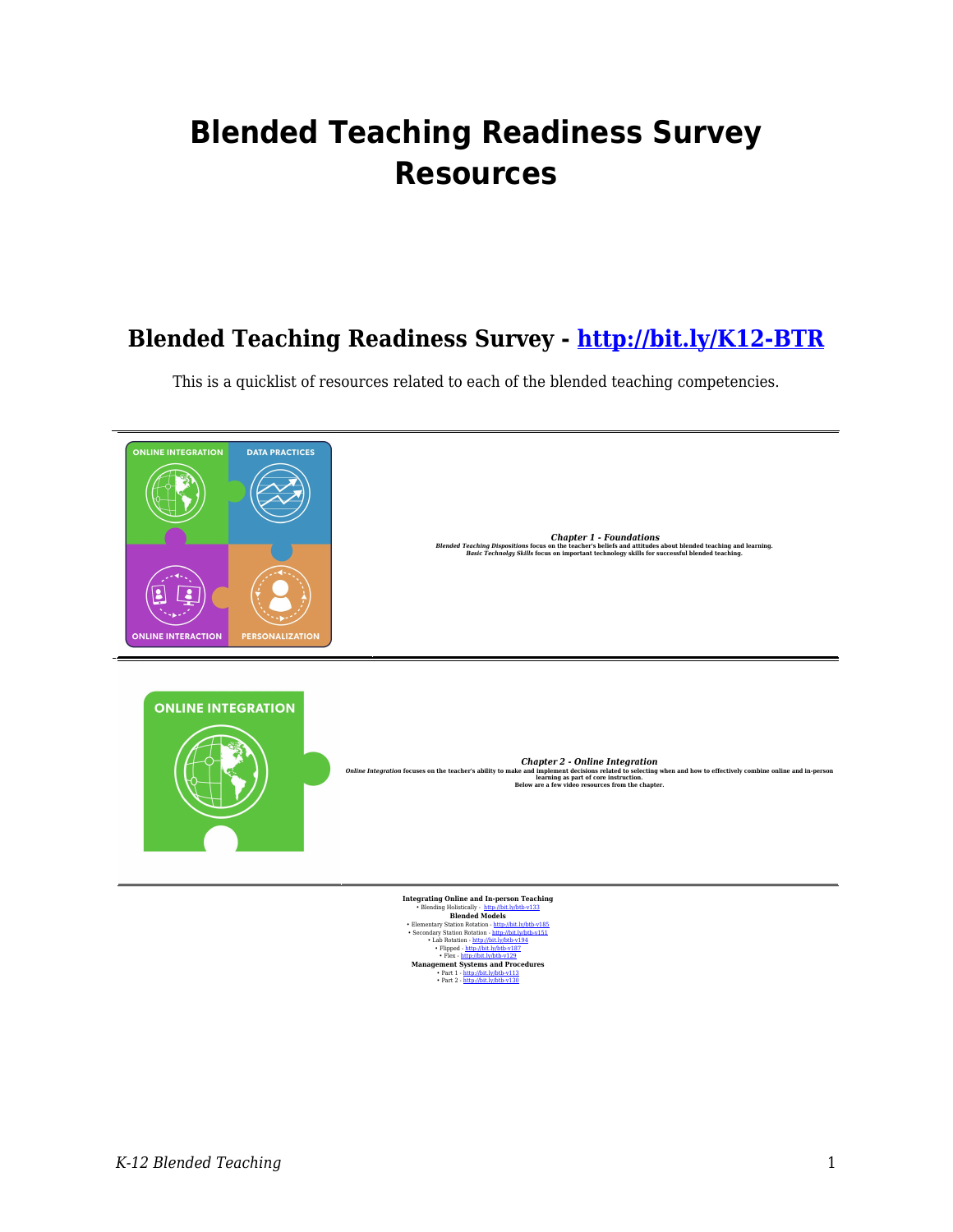## **Blended Teaching Readiness Survey Resources**

## **Blended Teaching Readiness Survey -<http://bit.ly/K12-BTR>**

This is a quicklist of resources related to each of the blended teaching competencies.



 $\begin{tabular}{l|c|c|c} \textbf{B} \text{lending Holistically} & \textbf{Mip} \& \textbf{D} \& \textbf{D} \& \textbf{D} \& \textbf{D} \& \textbf{D} \& \textbf{D} \& \textbf{D} \& \textbf{D} \& \textbf{D} \& \textbf{D} \& \textbf{D} \& \textbf{D} \& \textbf{D} \& \textbf{D} \& \textbf{D} \& \textbf{D} \& \textbf{D} \& \textbf{D} \& \textbf{D} \& \textbf{D} \& \textbf{D} \& \textbf{D} \& \textbf{$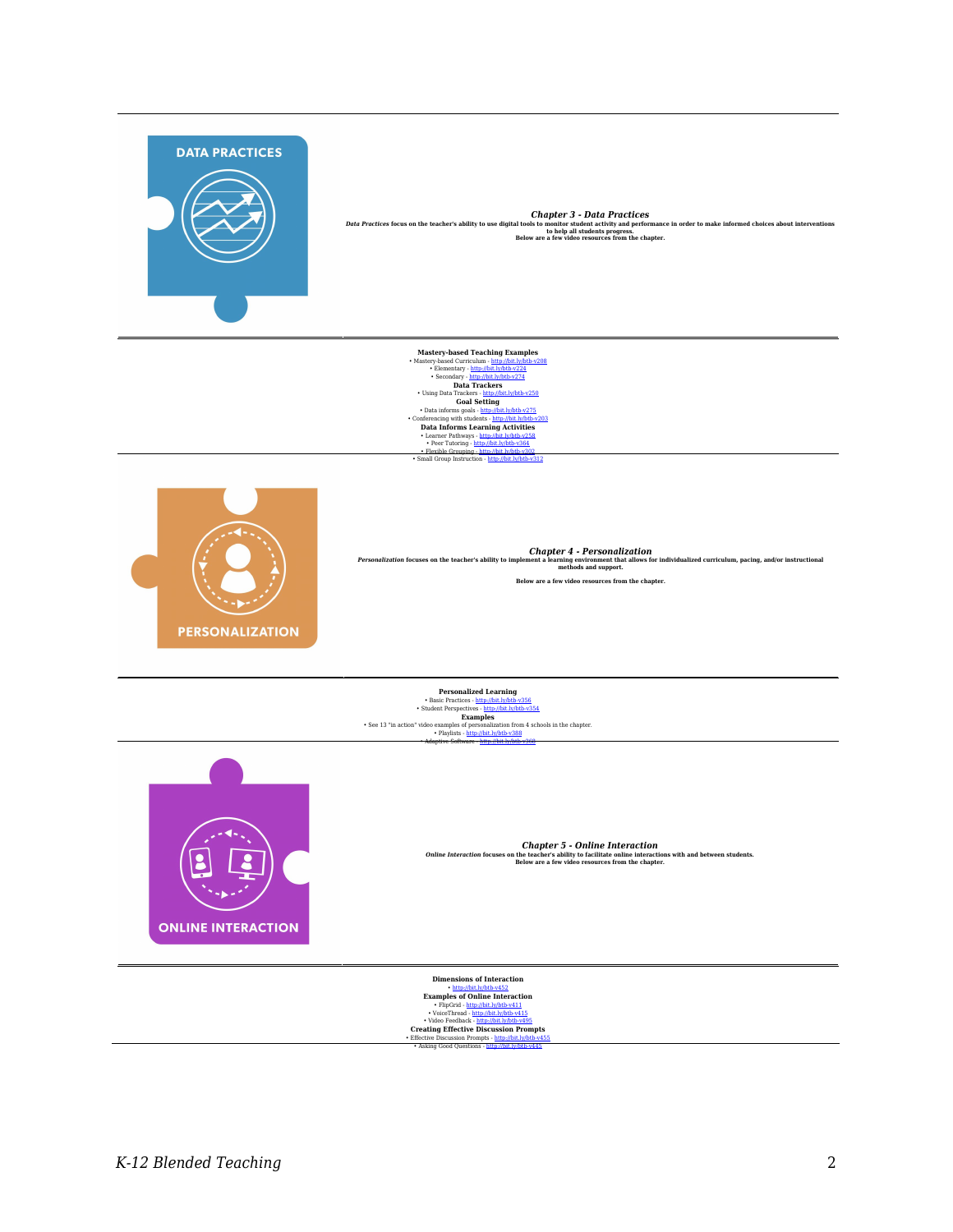

Chapper 3 - Data Practices focus on the teacher's ability to use digital tools homaitor student activity and performance in order to make informed choices about interventions<br>Below are a few video resources from the chapte

Mastery-based Teaching Examples<br>  $\begin{minip} \textbf{Example} \\ \textbf{Mstep} \\ \textbf{1} \\ \textbf{2} \\ \textbf{3} \\ \textbf{4} \\ \textbf{5} \\ \textbf{6} \\ \textbf{7} \\ \textbf{8} \\ \textbf{9} \\ \textbf{10} \\ \textbf{11} \\ \textbf{12} \\ \textbf{13} \\ \textbf{14} \\ \textbf{15} \\ \textbf{16} \\ \textbf{17} \\ \textbf{18} \\ \textbf{19} \\ \textbf{10} \\ \textbf{18} \\ \textbf{18}$ 





**<br>Personalization focuses on the teacher's ability to implement a learning environment that allows for individualized curriculum, pacing, and/or instructional<br>methods and support.** 

**Below are a few video resources from the chapter.**

**Personalized Learning** • Basic Practices - <http://bit.ly/btb-v356> • Student Perspectives - <http://bit.ly/btb-v354> **Examples** • See 13 "in action" video examples of personalization from 4 schools in the chapter. • Playlists - <http://bit.ly/btb-v388> • Adaptive Software -<http://bit.ly/btb-v368>



*Chapter 5 - Online Interaction Online Interaction* **focuses on the teacher's ability to facilitate online interactions with and between students. Below are a few video resources from the chapter.**

**Dimensions of Interaction** • <http://bit.ly/btb-v452> **Examples of Online Interaction**<br>
• FlipGrid - <http://bit.ly/btb-v411><br>
• VoiceThread -<http://bit.ly/btb-v415><br>
• Video Feedback - <u>http://bit.ly/btb-v495</u>

**Creating Effective Discussion Prompts**<br>• Effective Discussion Prompts - <http://bit.ly/btb-v455><br>• Asking Good Questions - <http://bit.ly/btb-v445>